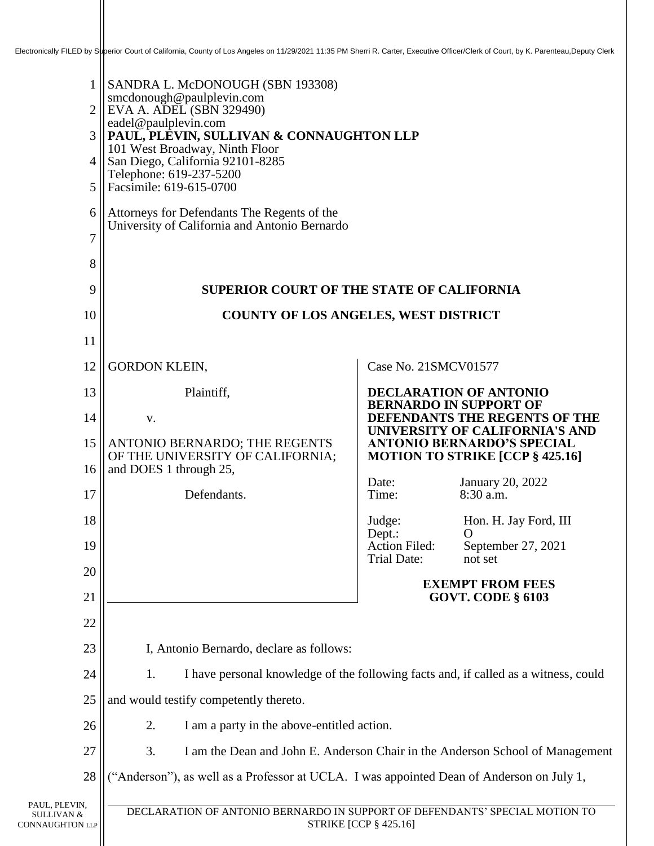| $\overline{2}$<br>6                                   | 1 SANDRA L. McDONOUGH (SBN 193308)<br>smcdonough@paulplevin.com<br>$\parallel$ EVA A. ADEL (SBN 329490)<br>eadel@paulplevin.com<br>3    PAUL, PLEVIN, SULLIVAN & CONNAUGHTON LLP<br>101 West Broadway, Ninth Floor<br>$4$ San Diego, California 92101-8285<br>Telephone: 619-237-5200<br>5    Facsimile: 619-615-0700<br>Attorneys for Defendants The Regents of the |                                            |                                                                     |
|-------------------------------------------------------|----------------------------------------------------------------------------------------------------------------------------------------------------------------------------------------------------------------------------------------------------------------------------------------------------------------------------------------------------------------------|--------------------------------------------|---------------------------------------------------------------------|
| $\overline{7}$<br>8                                   | University of California and Antonio Bernardo                                                                                                                                                                                                                                                                                                                        |                                            |                                                                     |
| 9                                                     | <b>SUPERIOR COURT OF THE STATE OF CALIFORNIA</b>                                                                                                                                                                                                                                                                                                                     |                                            |                                                                     |
| 10                                                    | <b>COUNTY OF LOS ANGELES, WEST DISTRICT</b>                                                                                                                                                                                                                                                                                                                          |                                            |                                                                     |
| 11                                                    |                                                                                                                                                                                                                                                                                                                                                                      |                                            |                                                                     |
| 12                                                    | <b>GORDON KLEIN,</b>                                                                                                                                                                                                                                                                                                                                                 | Case No. 21SMCV01577                       |                                                                     |
| 13                                                    | Plaintiff,                                                                                                                                                                                                                                                                                                                                                           |                                            | <b>DECLARATION OF ANTONIO</b>                                       |
| 14                                                    | V.                                                                                                                                                                                                                                                                                                                                                                   |                                            | <b>BERNARDO IN SUPPORT OF</b><br>DEFENDANTS THE REGENTS OF THE      |
| 15                                                    | ANTONIO BERNARDO; THE REGENTS                                                                                                                                                                                                                                                                                                                                        |                                            | UNIVERSITY OF CALIFORNIA'S AND<br><b>ANTONIO BERNARDO'S SPECIAL</b> |
| 16                                                    | OF THE UNIVERSITY OF CALIFORNIA;<br>and DOES 1 through 25,                                                                                                                                                                                                                                                                                                           | Date:                                      | <b>MOTION TO STRIKE [CCP § 425.16]</b><br>January 20, 2022          |
| 17                                                    | Defendants.                                                                                                                                                                                                                                                                                                                                                          | Time:                                      | 8:30 a.m.                                                           |
| 18                                                    |                                                                                                                                                                                                                                                                                                                                                                      | Judge:<br>Dept.:                           | Hon. H. Jay Ford, III<br>$\Omega$                                   |
| 19                                                    |                                                                                                                                                                                                                                                                                                                                                                      | <b>Action Filed:</b><br><b>Trial Date:</b> | September 27, 2021<br>not set                                       |
| 20                                                    |                                                                                                                                                                                                                                                                                                                                                                      |                                            | <b>EXEMPT FROM FEES</b>                                             |
| 21                                                    |                                                                                                                                                                                                                                                                                                                                                                      |                                            | <b>GOVT. CODE § 6103</b>                                            |
| 22                                                    |                                                                                                                                                                                                                                                                                                                                                                      |                                            |                                                                     |
| 23                                                    | I, Antonio Bernardo, declare as follows:                                                                                                                                                                                                                                                                                                                             |                                            |                                                                     |
| 24                                                    | I have personal knowledge of the following facts and, if called as a witness, could<br>1.                                                                                                                                                                                                                                                                            |                                            |                                                                     |
| 25                                                    | and would testify competently thereto.                                                                                                                                                                                                                                                                                                                               |                                            |                                                                     |
| 26                                                    | 2.<br>I am a party in the above-entitled action.                                                                                                                                                                                                                                                                                                                     |                                            |                                                                     |
| 27                                                    | 3.<br>I am the Dean and John E. Anderson Chair in the Anderson School of Management                                                                                                                                                                                                                                                                                  |                                            |                                                                     |
| 28                                                    | ("Anderson"), as well as a Professor at UCLA. I was appointed Dean of Anderson on July 1,                                                                                                                                                                                                                                                                            |                                            |                                                                     |
| PAUL, PLEVIN,<br>SULLIVAN &<br><b>CONNAUGHTON LLP</b> | DECLARATION OF ANTONIO BERNARDO IN SUPPORT OF DEFENDANTS' SPECIAL MOTION TO<br><b>STRIKE [CCP § 425.16]</b>                                                                                                                                                                                                                                                          |                                            |                                                                     |

Ш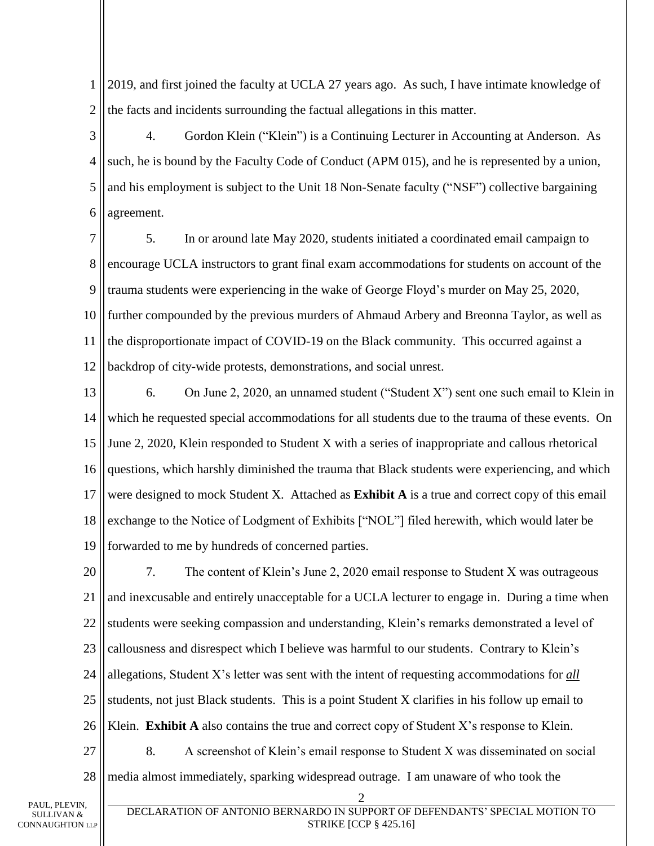1 2 2019, and first joined the faculty at UCLA 27 years ago. As such, I have intimate knowledge of the facts and incidents surrounding the factual allegations in this matter.

3 4 5 6 4. Gordon Klein ("Klein") is a Continuing Lecturer in Accounting at Anderson. As such, he is bound by the Faculty Code of Conduct (APM 015), and he is represented by a union, and his employment is subject to the Unit 18 Non-Senate faculty ("NSF") collective bargaining agreement.

7 8 9 10 11 12 5. In or around late May 2020, students initiated a coordinated email campaign to encourage UCLA instructors to grant final exam accommodations for students on account of the trauma students were experiencing in the wake of George Floyd's murder on May 25, 2020, further compounded by the previous murders of Ahmaud Arbery and Breonna Taylor, as well as the disproportionate impact of COVID-19 on the Black community. This occurred against a backdrop of city-wide protests, demonstrations, and social unrest.

13 14 15 16 17 18 19 6. On June 2, 2020, an unnamed student ("Student X") sent one such email to Klein in which he requested special accommodations for all students due to the trauma of these events. On June 2, 2020, Klein responded to Student X with a series of inappropriate and callous rhetorical questions, which harshly diminished the trauma that Black students were experiencing, and which were designed to mock Student X. Attached as **Exhibit A** is a true and correct copy of this email exchange to the Notice of Lodgment of Exhibits ["NOL"] filed herewith, which would later be forwarded to me by hundreds of concerned parties.

20 21 22 23 24 25 26 7. The content of Klein's June 2, 2020 email response to Student X was outrageous and inexcusable and entirely unacceptable for a UCLA lecturer to engage in. During a time when students were seeking compassion and understanding, Klein's remarks demonstrated a level of callousness and disrespect which I believe was harmful to our students. Contrary to Klein's allegations, Student X's letter was sent with the intent of requesting accommodations for *all* students, not just Black students. This is a point Student X clarifies in his follow up email to Klein. **Exhibit A** also contains the true and correct copy of Student X's response to Klein.

27 28 8. A screenshot of Klein's email response to Student X was disseminated on social media almost immediately, sparking widespread outrage. I am unaware of who took the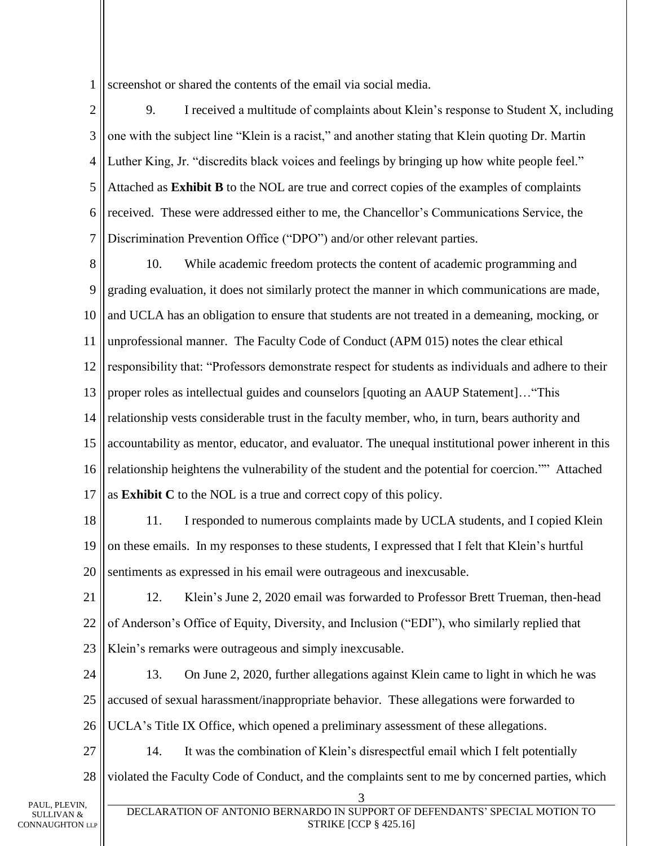1 screenshot or shared the contents of the email via social media.

2 3 4 5 6 7 9. I received a multitude of complaints about Klein's response to Student X, including one with the subject line "Klein is a racist," and another stating that Klein quoting Dr. Martin Luther King, Jr. "discredits black voices and feelings by bringing up how white people feel." Attached as **Exhibit B** to the NOL are true and correct copies of the examples of complaints received. These were addressed either to me, the Chancellor's Communications Service, the Discrimination Prevention Office ("DPO") and/or other relevant parties.

8 9 10 11 12 13 14 15 16 17 10. While academic freedom protects the content of academic programming and grading evaluation, it does not similarly protect the manner in which communications are made, and UCLA has an obligation to ensure that students are not treated in a demeaning, mocking, or unprofessional manner. The Faculty Code of Conduct (APM 015) notes the clear ethical responsibility that: "Professors demonstrate respect for students as individuals and adhere to their proper roles as intellectual guides and counselors [quoting an AAUP Statement]…"This relationship vests considerable trust in the faculty member, who, in turn, bears authority and accountability as mentor, educator, and evaluator. The unequal institutional power inherent in this relationship heightens the vulnerability of the student and the potential for coercion."" Attached as **Exhibit C** to the NOL is a true and correct copy of this policy.

18 19 20 11. I responded to numerous complaints made by UCLA students, and I copied Klein on these emails. In my responses to these students, I expressed that I felt that Klein's hurtful sentiments as expressed in his email were outrageous and inexcusable.

21 22 23 12. Klein's June 2, 2020 email was forwarded to Professor Brett Trueman, then-head of Anderson's Office of Equity, Diversity, and Inclusion ("EDI"), who similarly replied that Klein's remarks were outrageous and simply inexcusable.

24 25 26 13. On June 2, 2020, further allegations against Klein came to light in which he was accused of sexual harassment/inappropriate behavior. These allegations were forwarded to UCLA's Title IX Office, which opened a preliminary assessment of these allegations.

27 28 14. It was the combination of Klein's disrespectful email which I felt potentially violated the Faculty Code of Conduct, and the complaints sent to me by concerned parties, which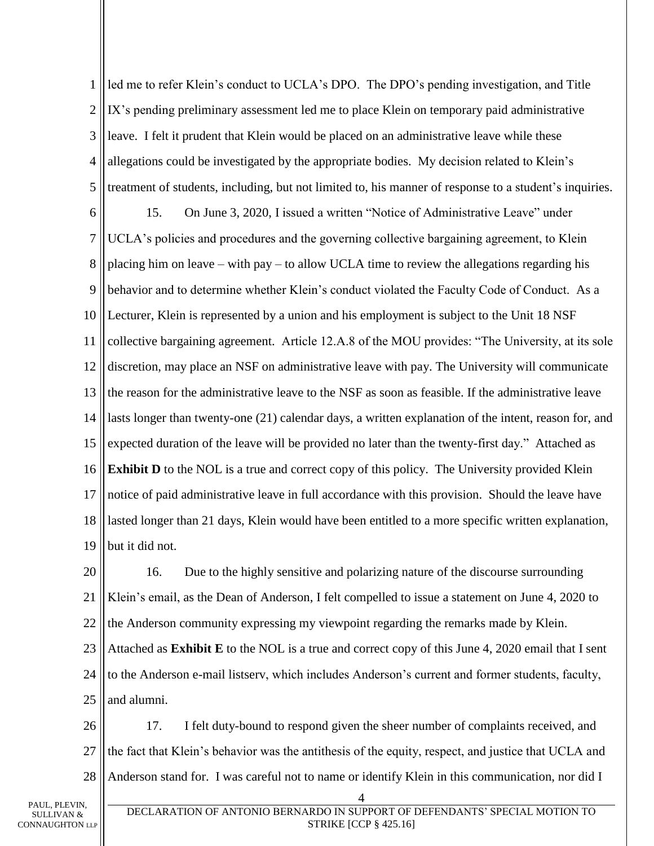1 2 3 4 5 6 7 8 9 10 11 12 13 14 15 16 17 18 19 led me to refer Klein's conduct to UCLA's DPO. The DPO's pending investigation, and Title IX's pending preliminary assessment led me to place Klein on temporary paid administrative leave. I felt it prudent that Klein would be placed on an administrative leave while these allegations could be investigated by the appropriate bodies. My decision related to Klein's treatment of students, including, but not limited to, his manner of response to a student's inquiries. 15. On June 3, 2020, I issued a written "Notice of Administrative Leave" under UCLA's policies and procedures and the governing collective bargaining agreement, to Klein placing him on leave – with pay – to allow UCLA time to review the allegations regarding his behavior and to determine whether Klein's conduct violated the Faculty Code of Conduct. As a Lecturer, Klein is represented by a union and his employment is subject to the Unit 18 NSF collective bargaining agreement. Article 12.A.8 of the MOU provides: "The University, at its sole discretion, may place an NSF on administrative leave with pay. The University will communicate the reason for the administrative leave to the NSF as soon as feasible. If the administrative leave lasts longer than twenty-one (21) calendar days, a written explanation of the intent, reason for, and expected duration of the leave will be provided no later than the twenty-first day." Attached as **Exhibit D** to the NOL is a true and correct copy of this policy. The University provided Klein notice of paid administrative leave in full accordance with this provision. Should the leave have lasted longer than 21 days, Klein would have been entitled to a more specific written explanation, but it did not.

20 21 22 23 24 16. Due to the highly sensitive and polarizing nature of the discourse surrounding Klein's email, as the Dean of Anderson, I felt compelled to issue a statement on June 4, 2020 to the Anderson community expressing my viewpoint regarding the remarks made by Klein. Attached as **Exhibit E** to the NOL is a true and correct copy of this June 4, 2020 email that I sent to the Anderson e-mail listserv, which includes Anderson's current and former students, faculty,

26 27 28 17. I felt duty-bound to respond given the sheer number of complaints received, and the fact that Klein's behavior was the antithesis of the equity, respect, and justice that UCLA and Anderson stand for. I was careful not to name or identify Klein in this communication, nor did I

25

and alumni.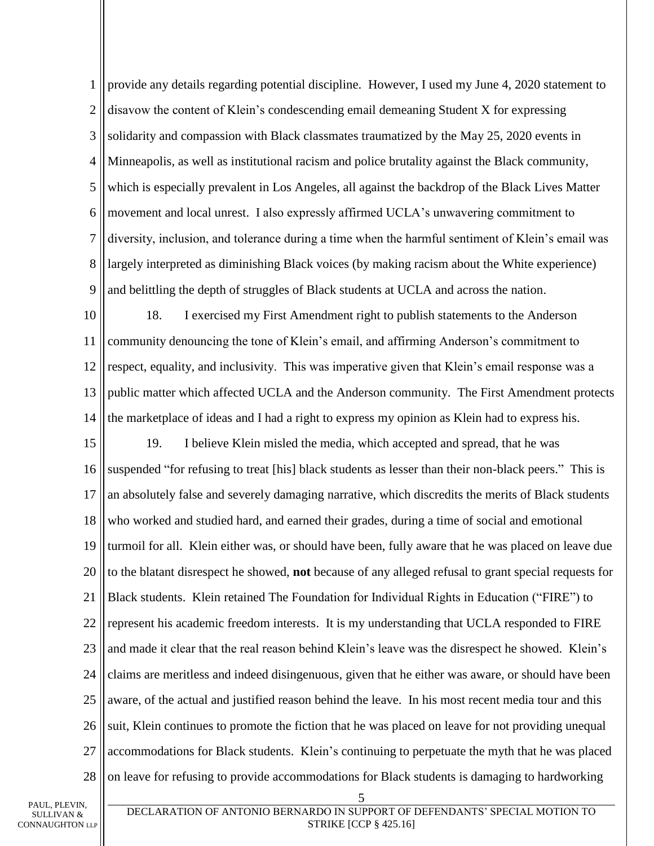1 2 3 4 5 6 7 8 9 provide any details regarding potential discipline. However, I used my June 4, 2020 statement to disavow the content of Klein's condescending email demeaning Student X for expressing solidarity and compassion with Black classmates traumatized by the May 25, 2020 events in Minneapolis, as well as institutional racism and police brutality against the Black community, which is especially prevalent in Los Angeles, all against the backdrop of the Black Lives Matter movement and local unrest. I also expressly affirmed UCLA's unwavering commitment to diversity, inclusion, and tolerance during a time when the harmful sentiment of Klein's email was largely interpreted as diminishing Black voices (by making racism about the White experience) and belittling the depth of struggles of Black students at UCLA and across the nation.

10 11 12 13 14 18. I exercised my First Amendment right to publish statements to the Anderson community denouncing the tone of Klein's email, and affirming Anderson's commitment to respect, equality, and inclusivity. This was imperative given that Klein's email response was a public matter which affected UCLA and the Anderson community. The First Amendment protects the marketplace of ideas and I had a right to express my opinion as Klein had to express his.

15 16 17 18 19 20 21 22 23 24 25 26 27 28 19. I believe Klein misled the media, which accepted and spread, that he was suspended "for refusing to treat [his] black students as lesser than their non-black peers." This is an absolutely false and severely damaging narrative, which discredits the merits of Black students who worked and studied hard, and earned their grades, during a time of social and emotional turmoil for all. Klein either was, or should have been, fully aware that he was placed on leave due to the blatant disrespect he showed, **not** because of any alleged refusal to grant special requests for Black students. Klein retained The Foundation for Individual Rights in Education ("FIRE") to represent his academic freedom interests. It is my understanding that UCLA responded to FIRE and made it clear that the real reason behind Klein's leave was the disrespect he showed. Klein's claims are meritless and indeed disingenuous, given that he either was aware, or should have been aware, of the actual and justified reason behind the leave. In his most recent media tour and this suit, Klein continues to promote the fiction that he was placed on leave for not providing unequal accommodations for Black students. Klein's continuing to perpetuate the myth that he was placed on leave for refusing to provide accommodations for Black students is damaging to hardworking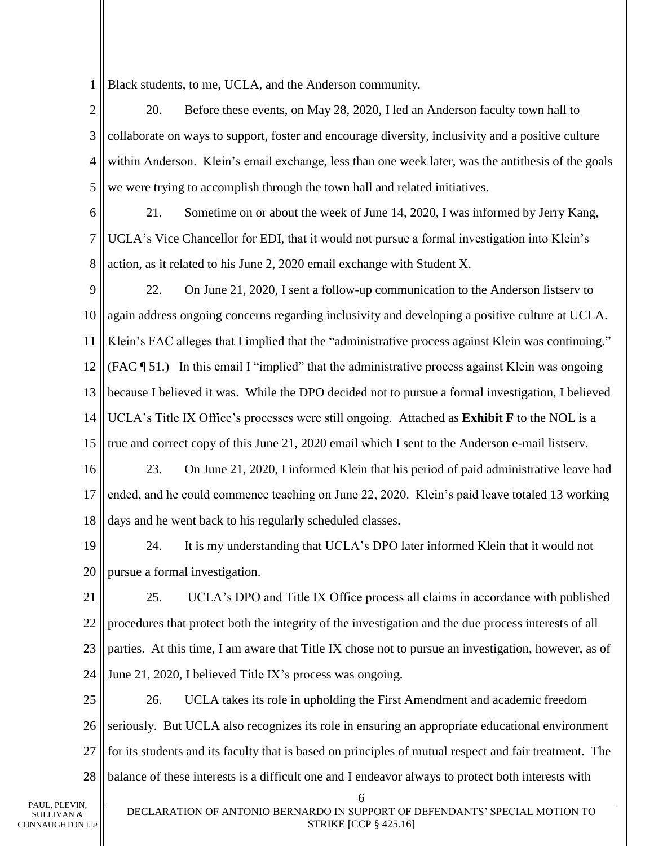1 Black students, to me, UCLA, and the Anderson community.

2 3 4 5 20. Before these events, on May 28, 2020, I led an Anderson faculty town hall to collaborate on ways to support, foster and encourage diversity, inclusivity and a positive culture within Anderson. Klein's email exchange, less than one week later, was the antithesis of the goals we were trying to accomplish through the town hall and related initiatives.

6

7 8 21. Sometime on or about the week of June 14, 2020, I was informed by Jerry Kang, UCLA's Vice Chancellor for EDI, that it would not pursue a formal investigation into Klein's action, as it related to his June 2, 2020 email exchange with Student X.

9 10 11 12 13 14 15 22. On June 21, 2020, I sent a follow-up communication to the Anderson listserv to again address ongoing concerns regarding inclusivity and developing a positive culture at UCLA. Klein's FAC alleges that I implied that the "administrative process against Klein was continuing." (FAC ¶ 51.) In this email I "implied" that the administrative process against Klein was ongoing because I believed it was. While the DPO decided not to pursue a formal investigation, I believed UCLA's Title IX Office's processes were still ongoing. Attached as **Exhibit F** to the NOL is a true and correct copy of this June 21, 2020 email which I sent to the Anderson e-mail listserv.

16 17 18 23. On June 21, 2020, I informed Klein that his period of paid administrative leave had ended, and he could commence teaching on June 22, 2020. Klein's paid leave totaled 13 working days and he went back to his regularly scheduled classes.

19 20 24. It is my understanding that UCLA's DPO later informed Klein that it would not pursue a formal investigation.

21 22 23 24 25. UCLA's DPO and Title IX Office process all claims in accordance with published procedures that protect both the integrity of the investigation and the due process interests of all parties. At this time, I am aware that Title IX chose not to pursue an investigation, however, as of June 21, 2020, I believed Title IX's process was ongoing.

25 26 27 28 26. UCLA takes its role in upholding the First Amendment and academic freedom seriously. But UCLA also recognizes its role in ensuring an appropriate educational environment for its students and its faculty that is based on principles of mutual respect and fair treatment. The balance of these interests is a difficult one and I endeavor always to protect both interests with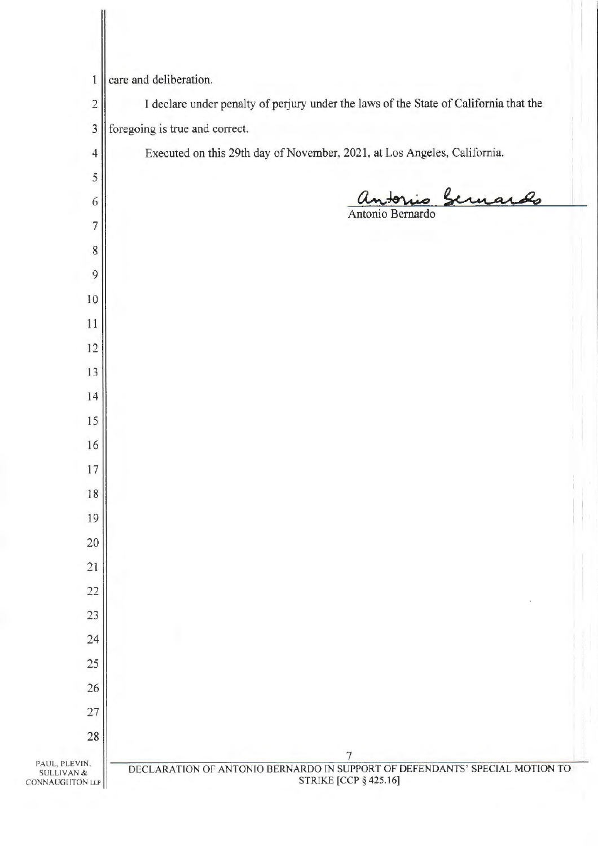| 1                                        | care and deliberation.                                                                |
|------------------------------------------|---------------------------------------------------------------------------------------|
| $\mathbf 2$                              | I declare under penalty of perjury under the laws of the State of California that the |
| $\mathfrak{Z}$                           | foregoing is true and correct.                                                        |
| 4                                        | Executed on this 29th day of November, 2021, at Los Angeles, California.              |
| 5                                        |                                                                                       |
| 6                                        | - Sernardo                                                                            |
| 7                                        | Antonio Bernardo                                                                      |
| 8                                        |                                                                                       |
| 9                                        |                                                                                       |
| 10                                       |                                                                                       |
| 11                                       |                                                                                       |
| 12                                       |                                                                                       |
| 13                                       |                                                                                       |
| 14                                       |                                                                                       |
| 15                                       |                                                                                       |
| 16                                       |                                                                                       |
| 17                                       |                                                                                       |
| 18                                       |                                                                                       |
| 19                                       |                                                                                       |
| $20\,$                                   |                                                                                       |
| 21                                       |                                                                                       |
| $22\,$                                   |                                                                                       |
| 23                                       |                                                                                       |
| 24                                       |                                                                                       |
| 25                                       |                                                                                       |
| 26                                       |                                                                                       |
| 27                                       |                                                                                       |
| 28                                       |                                                                                       |
| PAUL, PLEVIN,                            | 7<br>DECLARATION OF ANTONIO BERNARDO IN SUPPORT OF DEFENDANTS' SPECIAL MOTION TO      |
| <b>SULLIVAN &amp;</b><br>CONNAUGHTON LLP | <b>STRIKE [CCP § 425.16]</b>                                                          |